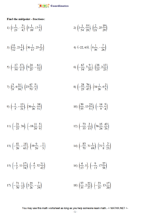

## Find the midpoint - fractions:

1) 
$$
\left(1\frac{1}{23}, -\frac{3}{4}\right), \left(5\frac{1}{10}, 17\frac{1}{3}\right)
$$
  
\n2)  $\left(3\frac{1}{54}, \frac{55}{28}\right), \left(\frac{2}{21}, 25\frac{19}{29}\right)$   
\n3)  $\left(\frac{11}{12}, 23\frac{1}{6}\right), \left(36\frac{1}{13}, 25\frac{2}{17}\right)$   
\n4)  $(-22, 63), \left(4\frac{1}{36}, -\frac{7}{26}\right)$   
\n5)  $\left(-\frac{17}{54}, \frac{17}{11}\right), \left(9\frac{24}{25}, -\frac{61}{72}\right)$   
\n6)  $\left(-\frac{67}{54}, 7\frac{9}{20}\right), \left(\frac{38}{23}, 2\frac{13}{23}\right)$   
\n7)  $\left(\frac{3}{8}, 6\frac{31}{38}\right), \left(23\frac{47}{70}, \frac{5}{3}\right)$   
\n8)  $\left(-\frac{28}{25}, \frac{76}{47}\right), \left(34\frac{1}{26}, 6\frac{2}{5}\right)$   
\n9)  $\left(-\frac{1}{5}, -\frac{13}{21}\right), \left(36\frac{1}{26}, \frac{38}{51}\right)$   
\n10)  $\left(\frac{39}{55}, 13\frac{25}{51}\right), \left(-\frac{14}{9}, \frac{5}{4}\right)$   
\n11)  $\left(-\frac{21}{25}, 26\right), \left(-18\frac{11}{20}, \frac{5}{9}\right)$   
\n12)  $\left(-\frac{73}{55}, \frac{2}{15}\right), \left(36\frac{15}{26}, \frac{43}{26}\right)$   
\n13)  $\left(-\frac{41}{26}, -\frac{14}{65}\right), \left(19\frac{9}{26}, -\frac{1}{5}\right)$   
\n14)  $\left(-\frac{83}{70}, 31\frac{1}{69}\right), \left(21\frac{3}{8}, \frac{2}{23}\right)$   
\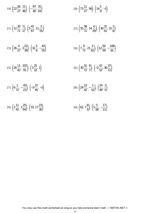19) 
$$
\left(22\frac{26}{27}, \frac{11}{46}\right), \left(-\frac{67}{40}, \frac{31}{24}\right)
$$
  
\n21)  $\left(12\frac{30}{71}, \frac{1}{2}\right), \left(5\frac{41}{67}, 11\frac{3}{55}\right)$   
\n22)  $\left(35\frac{58}{71}, 14\frac{4}{29}\right), \left(30\frac{31}{61}, 31\frac{1}{8}\right)$   
\n23)  $\left(26\frac{4}{27}, 3\frac{22}{39}\right), \left(32\frac{5}{6}, -\frac{43}{55}\right)$   
\n24)  $\left(7\frac{9}{71}, 21\frac{3}{62}\right), \left(12\frac{50}{59}, -\frac{108}{61}\right)$   
\n25)  $\left(26\frac{11}{42}, \frac{102}{55}\right), \left(3\frac{25}{32}, 1\right)$   
\n26)  $\left(30\frac{31}{72}, \frac{6}{7}\right), \left(-2\frac{47}{52}, 36\frac{37}{72}\right)$   
\n27)  $\left(6\frac{1}{72}, -\frac{43}{23}\right), \left(-3\frac{37}{45}, -2\right)$   
\n28)  $\left(24\frac{23}{42}, -\frac{1}{52}\right), \left(\frac{24}{49}, \frac{1}{5}\right)$   
\n29)  $\left(2\frac{11}{42}, 1\frac{25}{64}\right), \left(33, 17\frac{23}{30}\right)$   
\n30)  $\left(62, 7\frac{8}{9}\right), \left(5\frac{5}{58}, -\frac{17}{11}\right)$ 

You may use this math worksheet as long as you help someone learn math. -> MATHX.NET <-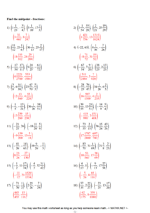## Find the midpoint - fractions:

1) 
$$
\left(1\frac{1}{23}, -\frac{3}{4}\right), \left(5\frac{1}{10}, 17\frac{1}{3}\right)
$$
  
\n $\left(3\frac{33}{460}, 8\frac{7}{24}\right)$   
\n3)  $\left(\frac{11}{12}, 23\frac{1}{6}\right), \left(36\frac{1}{13}, 25\frac{2}{17}\right)$   
\n $\left(18\frac{155}{312}, 24\frac{29}{204}\right)$   
\n5)  $\left(-\frac{17}{54}, \frac{17}{11}\right), \left(9\frac{24}{25}, -\frac{61}{72}\right)$   
\n $\left(4\frac{2221}{2700}, \frac{553}{1584}\right)$   
\n7)  $\left(\frac{3}{8}, 6\frac{31}{38}\right), \left(23\frac{47}{70}, \frac{5}{3}\right)$   
\n $\left(12\frac{13}{560}, 4\frac{55}{228}\right)$   
\n9)  $\left(-\frac{1}{5}, -\frac{13}{21}\right), \left(36\frac{1}{26}, \frac{38}{51}\right)$   
\n $\left(17\frac{239}{260}, \frac{15}{238}\right)$   
\n11)  $\left(-\frac{21}{25}, 26\right), \left(-18\frac{11}{20}, \frac{5}{9}\right)$   
\n $\left(-9\frac{139}{200}, 13\frac{5}{18}\right)$   
\n13)  $\left(-\frac{41}{26}, -\frac{14}{65}\right), \left(19\frac{9}{26}, -\frac{1}{5}\right)$   
\n $\left(8\frac{23}{26}, -\frac{27}{130}\right)$   
\n15)  $\left(-\frac{1}{2}, 11\frac{17}{74}\right), \left(-\frac{4}{3}, 32\frac{31}{42}\right)$   
\n $\left(-\frac{11}{12}, 21\frac{1529}{1554}\right)$   
\n17)  $\left(-\frac{71}{70}, \frac{1}{2}\right), \left(2\frac{25$ 

You may use this math worksheet as long as you help someone learn math. 
$$
\rightarrow
$$
 MATHX.NET  $\leftarrow$   $-1$ 

2) 
$$
\left(3\frac{1}{54}, \frac{55}{28}\right), \left(\frac{2}{21}, 25\frac{19}{29}\right)
$$
  
\n $\left(1\frac{421}{756}, 13\frac{1315}{1624}\right)$   
\n4)  $(-22, 63), \left(4\frac{1}{36}, -\frac{7}{26}\right)$   
\n $\left(-8\frac{71}{72}, 31\frac{19}{52}\right)$   
\n6)  $\left(-\frac{67}{54}, 7\frac{9}{20}\right), \left(\frac{38}{23}, 2\frac{13}{23}\right)$   
\n $\left(\frac{511}{2484}, 5\frac{7}{920}\right)$   
\n8)  $\left(-\frac{28}{25}, \frac{76}{47}\right), \left(34\frac{1}{26}, 6\frac{2}{5}\right)$   
\n $\left(16\frac{597}{1300}, 4\frac{2}{235}\right)$   
\n10)  $\left(\frac{39}{55}, 13\frac{25}{51}\right), \left(-\frac{14}{9}, \frac{5}{4}\right)$   
\n $\left(-\frac{419}{990}, 7\frac{151}{408}\right)$   
\n12)  $\left(-\frac{73}{55}, \frac{2}{15}\right), \left(36\frac{15}{26}, \frac{43}{26}\right)$   
\n $\left(17\frac{1787}{2860}, \frac{697}{780}\right)$   
\n14)  $\left(-\frac{83}{70}, 31\frac{1}{69}\right), \left(21\frac{3}{8}, \frac{2}{23}\right)$   
\n $\left(10\frac{53}{560}, 15\frac{38}{69}\right)$   
\n16)  $\left(\frac{4}{13}, 0\right), \left(-\frac{9}{13}, 17\frac{27}{58}\right)$   
\n $\left(-\frac{5}{26}, 8\frac{85}{116}\right)$   
\n18)  $\left(\frac{57}{35}, 2\frac{22}{27}\right), \left(-\frac{23}{25}, 13\frac{17$